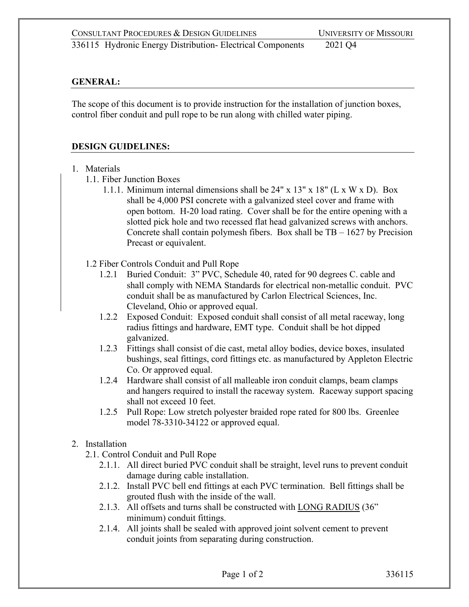## **GENERAL:**

The scope of this document is to provide instruction for the installation of junction boxes, control fiber conduit and pull rope to be run along with chilled water piping.

## **DESIGN GUIDELINES:**

- 1. Materials
	- 1.1. Fiber Junction Boxes
		- 1.1.1. Minimum internal dimensions shall be 24" x 13" x 18" (L x W x D). Box shall be 4,000 PSI concrete with a galvanized steel cover and frame with open bottom. H-20 load rating. Cover shall be for the entire opening with a slotted pick hole and two recessed flat head galvanized screws with anchors. Concrete shall contain polymesh fibers. Box shall be  $TB - 1627$  by Precision Precast or equivalent.
	- 1.2 Fiber Controls Conduit and Pull Rope
		- 1.2.1 Buried Conduit: 3" PVC, Schedule 40, rated for 90 degrees C. cable and shall comply with NEMA Standards for electrical non-metallic conduit. PVC conduit shall be as manufactured by Carlon Electrical Sciences, Inc. Cleveland, Ohio or approved equal.
		- 1.2.2 Exposed Conduit: Exposed conduit shall consist of all metal raceway, long radius fittings and hardware, EMT type. Conduit shall be hot dipped galvanized.
		- 1.2.3 Fittings shall consist of die cast, metal alloy bodies, device boxes, insulated bushings, seal fittings, cord fittings etc. as manufactured by Appleton Electric Co. Or approved equal.
		- 1.2.4 Hardware shall consist of all malleable iron conduit clamps, beam clamps and hangers required to install the raceway system. Raceway support spacing shall not exceed 10 feet.
		- 1.2.5 Pull Rope: Low stretch polyester braided rope rated for 800 lbs. Greenlee model 78-3310-34122 or approved equal.
- 2. Installation
	- 2.1. Control Conduit and Pull Rope
		- 2.1.1. All direct buried PVC conduit shall be straight, level runs to prevent conduit damage during cable installation.
		- 2.1.2. Install PVC bell end fittings at each PVC termination. Bell fittings shall be grouted flush with the inside of the wall.
		- 2.1.3. All offsets and turns shall be constructed with LONG RADIUS (36" minimum) conduit fittings.
		- 2.1.4. All joints shall be sealed with approved joint solvent cement to prevent conduit joints from separating during construction.